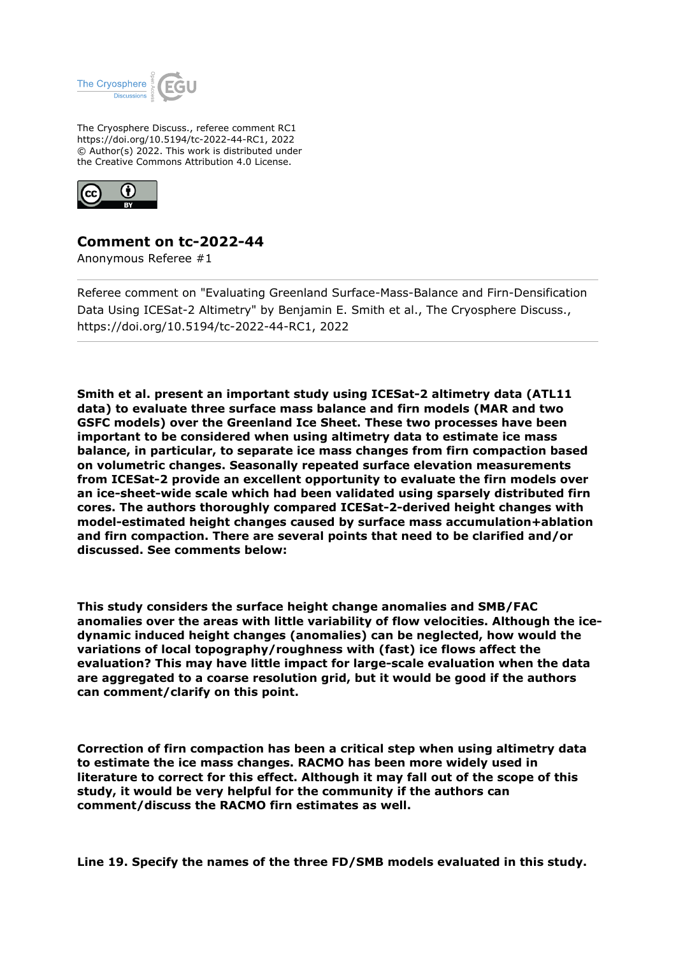

The Cryosphere Discuss., referee comment RC1 https://doi.org/10.5194/tc-2022-44-RC1, 2022 © Author(s) 2022. This work is distributed under the Creative Commons Attribution 4.0 License.



## **Comment on tc-2022-44**

Anonymous Referee #1

Referee comment on "Evaluating Greenland Surface-Mass-Balance and Firn-Densification Data Using ICESat-2 Altimetry" by Benjamin E. Smith et al., The Cryosphere Discuss., https://doi.org/10.5194/tc-2022-44-RC1, 2022

**Smith et al. present an important study using ICESat-2 altimetry data (ATL11 data) to evaluate three surface mass balance and firn models (MAR and two GSFC models) over the Greenland Ice Sheet. These two processes have been important to be considered when using altimetry data to estimate ice mass balance, in particular, to separate ice mass changes from firn compaction based on volumetric changes. Seasonally repeated surface elevation measurements from ICESat-2 provide an excellent opportunity to evaluate the firn models over an ice-sheet-wide scale which had been validated using sparsely distributed firn cores. The authors thoroughly compared ICESat-2-derived height changes with model-estimated height changes caused by surface mass accumulation+ablation and firn compaction. There are several points that need to be clarified and/or discussed. See comments below:**

**This study considers the surface height change anomalies and SMB/FAC anomalies over the areas with little variability of flow velocities. Although the icedynamic induced height changes (anomalies) can be neglected, how would the variations of local topography/roughness with (fast) ice flows affect the evaluation? This may have little impact for large-scale evaluation when the data are aggregated to a coarse resolution grid, but it would be good if the authors can comment/clarify on this point.** 

**Correction of firn compaction has been a critical step when using altimetry data to estimate the ice mass changes. RACMO has been more widely used in literature to correct for this effect. Although it may fall out of the scope of this study, it would be very helpful for the community if the authors can comment/discuss the RACMO firn estimates as well.** 

**Line 19. Specify the names of the three FD/SMB models evaluated in this study.**